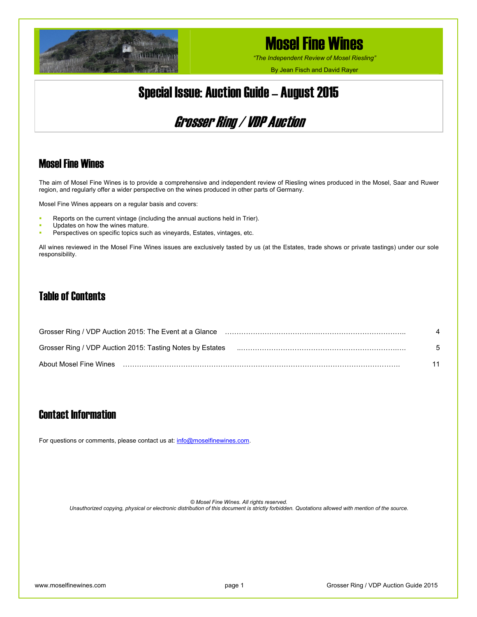

*"The Independent Review of Mosel Riesling"*

By Jean Fisch and David Rayer

## Special Issue: Auction Guide – August 2015

## Grosser Ring / VDP Auction

### Mosel Fine Wines

The aim of Mosel Fine Wines is to provide a comprehensive and independent review of Riesling wines produced in the Mosel, Saar and Ruwer region, and regularly offer a wider perspective on the wines produced in other parts of Germany.

Mosel Fine Wines appears on a regular basis and covers:

- Reports on the current vintage (including the annual auctions held in Trier).
- Updates on how the wines mature.
- Perspectives on specific topics such as vineyards, Estates, vintages, etc.

All wines reviewed in the Mosel Fine Wines issues are exclusively tasted by us (at the Estates, trade shows or private tastings) under our sole responsibility.

### Table of Contents

| Grosser Ring / VDP Auction 2015: The Event at a Glance (1) Contain the Container Container Container Container |    |
|----------------------------------------------------------------------------------------------------------------|----|
| Grosser Ring / VDP Auction 2015: Tasting Notes by Estates                                                      | _Б |
| About Mosel Fine Wines                                                                                         |    |

### Contact Information

For questions or comments, please contact us at: [info@moselfinewines.com](mailto:info@moselfinewines.com).

*© Mosel Fine Wines. All rights reserved. Unauthorized copying, physical or electronic distribution of this document is strictly forbidden. Quotations allowed with mention of the source.*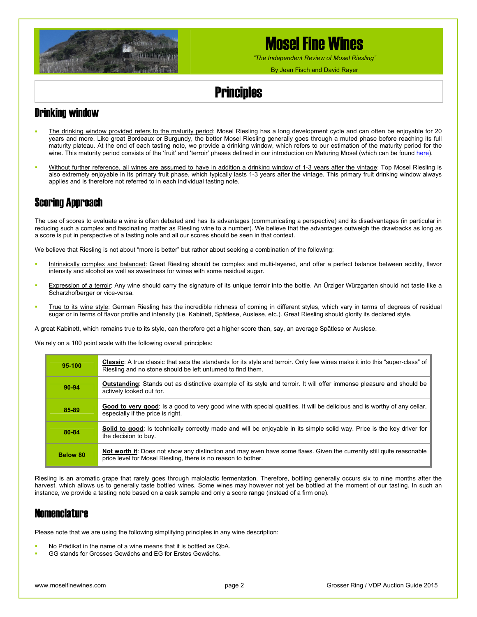

*"The Independent Review of Mosel Riesling"*

By Jean Fisch and David Rayer

## **Principles**

### Drinking window

- The drinking window provided refers to the maturity period: Mosel Riesling has a long development cycle and can often be enjoyable for 20 years and more. Like great Bordeaux or Burgundy, the better Mosel Riesling generally goes through a muted phase before reaching its full maturity plateau. At the end of each tasting note, we provide a drinking window, which refers to our estimation of the maturity period for the wine. This maturity period consists of the 'fruit' and 'terroir' phases defined in our introduction on Maturing Mosel (which can be found [here\)](http://www.moselfinewines.com/maturing-mosel.php).
- Without further reference, all wines are assumed to have in addition a drinking window of 1-3 years after the vintage: Top Mosel Riesling is also extremely enjoyable in its primary fruit phase, which typically lasts 1-3 years after the vintage. This primary fruit drinking window always applies and is therefore not referred to in each individual tasting note.

### Scoring Approach

The use of scores to evaluate a wine is often debated and has its advantages (communicating a perspective) and its disadvantages (in particular in reducing such a complex and fascinating matter as Riesling wine to a number). We believe that the advantages outweigh the drawbacks as long as a score is put in perspective of a tasting note and all our scores should be seen in that context.

We believe that Riesling is not about "more is better" but rather about seeking a combination of the following:

- Intrinsically complex and balanced: Great Riesling should be complex and multi-layered, and offer a perfect balance between acidity, flavor intensity and alcohol as well as sweetness for wines with some residual sugar.
- Expression of a terroir: Any wine should carry the signature of its unique terroir into the bottle. An Ürziger Würzgarten should not taste like a Scharzhofberger or vice-versa.
- True to its wine style: German Riesling has the incredible richness of coming in different styles, which vary in terms of degrees of residual sugar or in terms of flavor profile and intensity (i.e. Kabinett, Spätlese, Auslese, etc.). Great Riesling should glorify its declared style.

A great Kabinett, which remains true to its style, can therefore get a higher score than, say, an average Spätlese or Auslese.

We rely on a 100 point scale with the following overall principles:

| 95-100   | Classic: A true classic that sets the standards for its style and terroir. Only few wines make it into this "super-class" of<br>Riesling and no stone should be left unturned to find them. |
|----------|---------------------------------------------------------------------------------------------------------------------------------------------------------------------------------------------|
| 90-94    | <b>Outstanding:</b> Stands out as distinctive example of its style and terroir. It will offer immense pleasure and should be<br>actively looked out for.                                    |
| 85-89    | Good to very good: Is a good to very good wine with special qualities. It will be delicious and is worthy of any cellar,<br>especially if the price is right.                               |
| 80-84    | Solid to good: Is technically correctly made and will be enjoyable in its simple solid way. Price is the key driver for<br>the decision to buy.                                             |
| Below 80 | Not worth it: Does not show any distinction and may even have some flaws. Given the currently still quite reasonable<br>price level for Mosel Riesling, there is no reason to bother.       |

Riesling is an aromatic grape that rarely goes through malolactic fermentation. Therefore, bottling generally occurs six to nine months after the harvest, which allows us to generally taste bottled wines. Some wines may however not yet be bottled at the moment of our tasting. In such an instance, we provide a tasting note based on a cask sample and only a score range (instead of a firm one).

### **Nomenclature**

Please note that we are using the following simplifying principles in any wine description:

- No Prädikat in the name of a wine means that it is bottled as QbA.
- GG stands for Grosses Gewächs and EG for Erstes Gewächs.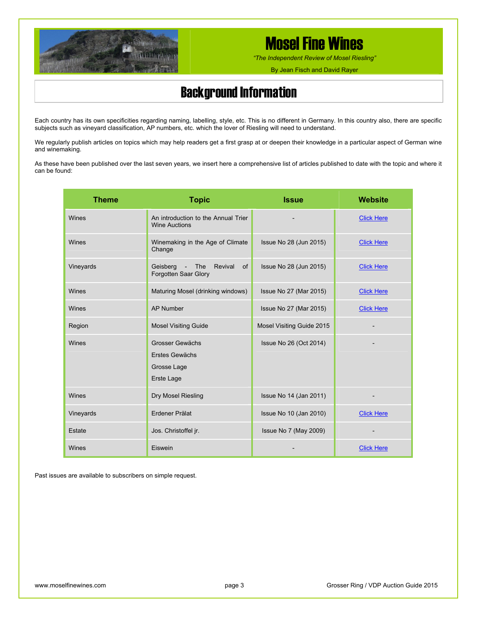

*"The Independent Review of Mosel Riesling"*

By Jean Fisch and David Rayer

## Background Information

Each country has its own specificities regarding naming, labelling, style, etc. This is no different in Germany. In this country also, there are specific subjects such as vineyard classification, AP numbers, etc. which the lover of Riesling will need to understand.

We regularly publish articles on topics which may help readers get a first grasp at or deepen their knowledge in a particular aspect of German wine and winemaking.

As these have been published over the last seven years, we insert here a comprehensive list of articles published to date with the topic and where it can be found:

| <b>Theme</b> | <b>Topic</b>                                                   | <b>Issue</b>              | Website           |
|--------------|----------------------------------------------------------------|---------------------------|-------------------|
| Wines        | An introduction to the Annual Trier<br><b>Wine Auctions</b>    |                           | <b>Click Here</b> |
| Wines        | Winemaking in the Age of Climate<br>Change                     | Issue No 28 (Jun 2015)    | <b>Click Here</b> |
| Vineyards    | Geisberg - The<br>Revival<br>of<br>Forgotten Saar Glory        | Issue No 28 (Jun 2015)    | <b>Click Here</b> |
| Wines        | Maturing Mosel (drinking windows)                              | Issue No 27 (Mar 2015)    | <b>Click Here</b> |
| Wines        | <b>AP Number</b>                                               | Issue No 27 (Mar 2015)    | <b>Click Here</b> |
| Region       | <b>Mosel Visiting Guide</b>                                    | Mosel Visiting Guide 2015 |                   |
| Wines        | Grosser Gewächs<br>Erstes Gewächs<br>Grosse Lage<br>Erste Lage | Issue No 26 (Oct 2014)    |                   |
| Wines        | Dry Mosel Riesling                                             | Issue No 14 (Jan 2011)    |                   |
| Vineyards    | Erdener Prälat                                                 | Issue No 10 (Jan 2010)    | <b>Click Here</b> |
| Estate       | Jos. Christoffel jr.                                           | Issue No 7 (May 2009)     |                   |
| Wines        | Eiswein                                                        |                           | <b>Click Here</b> |

Past issues are available to subscribers on simple request.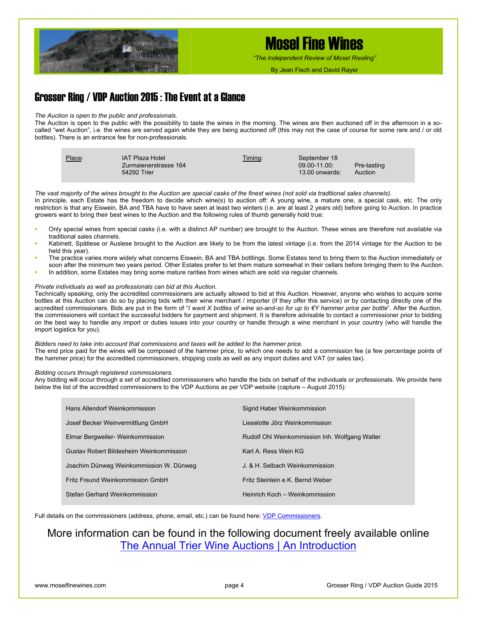

*"The Independent Review of Mosel Riesling"*

By Jean Fisch and David Rayer

### Grosser Ring / VDP Auction 2015 : The Event at a Glance

#### *The Auction is open to the public and professionals.*

The Auction is open to the public with the possibility to taste the wines in the morning. The wines are then auctioned off in the afternoon in a socalled "wet Auction", i.e. the wines are served again while they are being auctioned off (this may not the case of course for some rare and / or old bottles). There is an entrance fee for non-professionals.

| Place: | IAT Plaza Hotel<br>Zurmaienerstrasse 164<br>54292 Trier | Timing: | September 18<br>$09.00 - 11.00$<br>$13.00$ onwards: | Pre-tasting<br>Auction |
|--------|---------------------------------------------------------|---------|-----------------------------------------------------|------------------------|
|--------|---------------------------------------------------------|---------|-----------------------------------------------------|------------------------|

*The vast majority of the wines brought to the Auction are special casks of the finest wines (not sold via traditional sales channels).*  In principle, each Estate has the freedom to decide which wine(s) to auction off: A young wine, a mature one, a special cask, etc. The only restriction is that any Eiswein, BA and TBA have to have seen at least two winters (i.e. are at least 2 years old) before going to Auction. In practice growers want to bring their best wines to the Auction and the following rules of thumb generally hold true:

- Only special wines from special casks (i.e. with a distinct AP number) are brought to the Auction. These wines are therefore not available via traditional sales channels.
- Kabinett, Spätlese or Auslese brought to the Auction are likely to be from the latest vintage (i.e. from the 2014 vintage for the Auction to be held this year).
- The practice varies more widely what concerns Eiswein, BA and TBA bottlings. Some Estates tend to bring them to the Auction immediately or soon after the minimum two years period. Other Estates prefer to let them mature somewhat in their cellars before bringing them to the Auction.
- In addition, some Estates may bring some mature rarities from wines which are sold via regular channels.

#### *Private individuals as well as professionals can bid at this Auction.*

Technically speaking, only the accredited commissioners are actually allowed to bid at this Auction. However, anyone who wishes to acquire some bottles at this Auction can do so by placing bids with their wine merchant / importer (if they offer this service) or by contacting directly one of the accredited commissioners. Bids are put in the form of "*I want X bottles of wine so-and-so for up to €Y hammer price per bottle*". After the Auction, the commissioners will contact the successful bidders for payment and shipment. It is therefore advisable to contact a commissioner prior to bidding on the best way to handle any import or duties issues into your country or handle through a wine merchant in your country (who will handle the import logistics for you).

#### *Bidders need to take into account that commissions and taxes will be added to the hammer price.*

The end price paid for the wines will be composed of the hammer price, to which one needs to add a commission fee (a few percentage points of the hammer price) for the accredited commissioners, shipping costs as well as any import duties and VAT (or sales tax).

#### *Bidding occurs through registered commissioners.*

Any bidding will occur through a set of accredited commissioners who handle the bids on behalf of the individuals or professionals. We provide here below the list of the accredited commissioners to the VDP Auctions as per VDP website (capture – August 2015):

| Hans Allendorf Weinkommission           | Sigrid Haber Weinkommission                    |
|-----------------------------------------|------------------------------------------------|
| Josef Becker Weinvermittlung GmbH       | Lieselotte Jörz Weinkommission                 |
| Elmar Bergweiler-Weinkommission         | Rudolf Ohl Weinkommission Inh. Wolfgang Walter |
| Gustav Robert Bildesheim Weinkommission | Karl A. Ress Wein KG                           |
| Joachim Dünweg Weinkommission W. Dünweg | J. & H. Selbach Weinkommission                 |
| Fritz Freund Weinkommission GmbH        | Fritz Steinlein e.K. Bernd Weber               |
| Stefan Gerhard Weinkommission           | Heinrich Koch - Weinkommission                 |

Full details on the commissioners (address, phone, email, etc.) can be found here: [VDP Commissioners](http://www.vdp.de/fileadmin/user_upload/PDF/Veranstaltungen/Versteigerungen/Kommisionaere.pdf).

### More information can be found in the following document freely available online [The Annual Trier Wine Auctions | An Introduction](http://www.moselfinewines.com/Mosel Fine Wines - Introduction to the Trier Wine Auctions.pdf)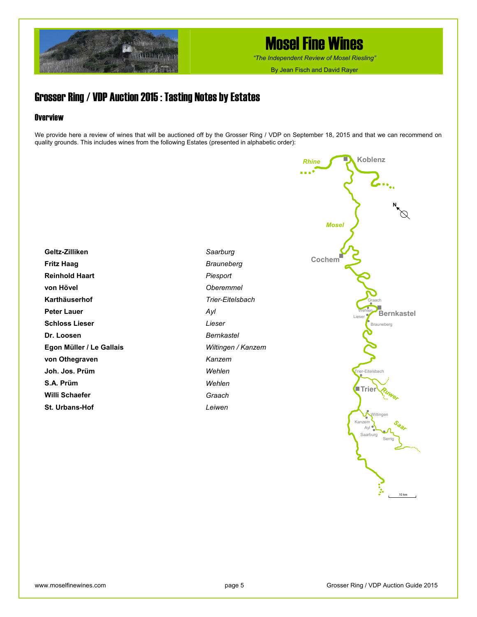

*"The Independent Review of Mosel Riesling"*

By Jean Fisch and David Rayer

### Grosser Ring / VDP Auction 2015 : Tasting Notes by Estates

### **Overview**

We provide here a review of wines that will be auctioned off by the Grosser Ring / VDP on September 18, 2015 and that we can recommend on quality grounds. This includes wines from the following Estates (presented in alphabetic order):

**Geltz-Zilliken Fritz Haag Reinhold Haart von Hövel Karthäuserhof Peter Lauer Schloss Lieser Dr. Loosen Egon Müller / Le Gallais von Othegraven Joh. Jos. Prüm S.A. Prüm Willi Schaefer St. Urbans-Hof** 

*Saarburg Brauneberg Piesport Oberemmel Trier-Eitelsbach Ayl Lieser Bernkastel Wiltingen / Kanzem Kanzem Wehlen Wehlen Graach Leiwen* 

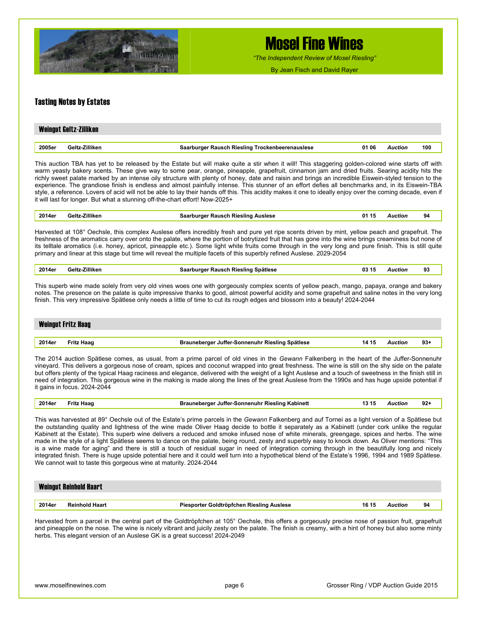

*"The Independent Review of Mosel Riesling"*

By Jean Fisch and David Rayer

### Tasting Notes by Estates

|        | Weingut Geltz-Zilliken |                                                 |       |         |     |
|--------|------------------------|-------------------------------------------------|-------|---------|-----|
|        |                        |                                                 |       |         |     |
| 2005er | Geltz-Zilliken         | Saarburger Rausch Riesling Trockenbeerenauslese | 01 06 | Auction | 100 |

This auction TBA has yet to be released by the Estate but will make quite a stir when it will! This staggering golden-colored wine starts off with warm yeasty bakery scents. These give way to some pear, orange, pineapple, grapefruit, cinnamon jam and dried fruits. Searing acidity hits the richly sweet palate marked by an intense oily structure with plenty of honey, date and raisin and brings an incredible Eiswein-styled tension to the experience. The grandiose finish is endless and almost painfully intense. This stunner of an effort defies all benchmarks and, in its Eiswein-TBA style, a reference. Lovers of acid will not be able to lay their hands off this. This acidity makes it one to ideally enjoy over the coming decade, even if it will last for longer. But what a stunning off-the-chart effort! Now-2025+

| 2014er | Zilliken<br>Gelt | Auslese<br>Rieslina<br>Rausch<br>muroe<br>--<br>.<br>.<br>--<br>the contract of the contract of the contract of the contract of the contract of the contract of the contract of | 01<br>л.<br>- 19 | ctior<br>. | 94 |  |
|--------|------------------|---------------------------------------------------------------------------------------------------------------------------------------------------------------------------------|------------------|------------|----|--|
|        |                  |                                                                                                                                                                                 |                  |            |    |  |

Harvested at 108° Oechsle, this complex Auslese offers incredibly fresh and pure yet ripe scents driven by mint, yellow peach and grapefruit. The freshness of the aromatics carry over onto the palate, where the portion of botrytized fruit that has gone into the wine brings creaminess but none of its telltale aromatics (i.e. honey, apricot, pineapple etc.). Some light white fruits come through in the very long and pure finish. This is still quite primary and linear at this stage but time will reveal the multiple facets of this superbly refined Auslese. 2029-2054

| 2014er | . | RIesund<br>spatiese<br>зличь.<br>המר | U3.<br>. .<br>. | TIOI | ົດລ<br>ະບ |
|--------|---|--------------------------------------|-----------------|------|-----------|
|        |   |                                      |                 |      |           |

This superb wine made solely from very old vines woes one with gorgeously complex scents of yellow peach, mango, papaya, orange and bakery notes. The presence on the palate is quite impressive thanks to good, almost powerful acidity and some grapefruit and saline notes in the very long finish. This very impressive Spätlese only needs a little of time to cut its rough edges and blossom into a beauty! 2024-2044

|        | <b>Weingut Fritz Haag</b> |                                                          |                |        |
|--------|---------------------------|----------------------------------------------------------|----------------|--------|
|        |                           |                                                          |                |        |
| 2014er | Fritz Haag                | Brauneberger Juffer-Sonnenuhr Riesling Spätlese<br>14 15 | <b>Auction</b> | $93 +$ |

The 2014 auction Spätlese comes, as usual, from a prime parcel of old vines in the *Gewann* Falkenberg in the heart of the Juffer-Sonnenuhr vineyard. This delivers a gorgeous nose of cream, spices and coconut wrapped into great freshness. The wine is still on the shy side on the palate but offers plenty of the typical Haag raciness and elegance, delivered with the weight of a light Auslese and a touch of sweetness in the finish still in need of integration. This gorgeous wine in the making is made along the lines of the great Auslese from the 1990s and has huge upside potential if it gains in focus. 2024-2044

| 2014er | <b>Fritz Haag</b> | <b>Brauneberger Juffer-Sonnenuhr Riesling Kabinett</b> | 13 15 | Auction | $92 -$ |
|--------|-------------------|--------------------------------------------------------|-------|---------|--------|
|--------|-------------------|--------------------------------------------------------|-------|---------|--------|

This was harvested at 89° Oechsle out of the Estate's prime parcels in the *Gewann* Falkenberg and auf Tornei as a light version of a Spätlese but the outstanding quality and lightness of the wine made Oliver Haag decide to bottle it separately as a Kabinett (under cork unlike the regular Kabinett at the Estate). This superb wine delivers a reduced and smoke infused nose of white minerals, greengage, spices and herbs. The wine made in the style of a light Spätlese seems to dance on the palate, being round, zesty and superbly easy to knock down. As Oliver mentions: "This is a wine made for aging" and there is still a touch of residual sugar in need of integration coming through in the beautifully long and nicely integrated finish. There is huge upside potential here and it could well turn into a hypothetical blend of the Estate's 1996, 1994 and 1989 Spätlese. We cannot wait to taste this gorgeous wine at maturity. 2024-2044

|        | <b>Weingut Reinhold Haart</b> |                                           |       |         |    |
|--------|-------------------------------|-------------------------------------------|-------|---------|----|
| 2014er | Reinhold Haart                | Piesporter Goldtröpfchen Riesling Auslese | 16 15 | \uction | 94 |

Harvested from a parcel in the central part of the Goldtröpfchen at 105° Oechsle, this offers a gorgeously precise nose of passion fruit, grapefruit and pineapple on the nose. The wine is nicely vibrant and juicily zesty on the palate. The finish is creamy, with a hint of honey but also some minty herbs. This elegant version of an Auslese GK is a great success! 2024-2049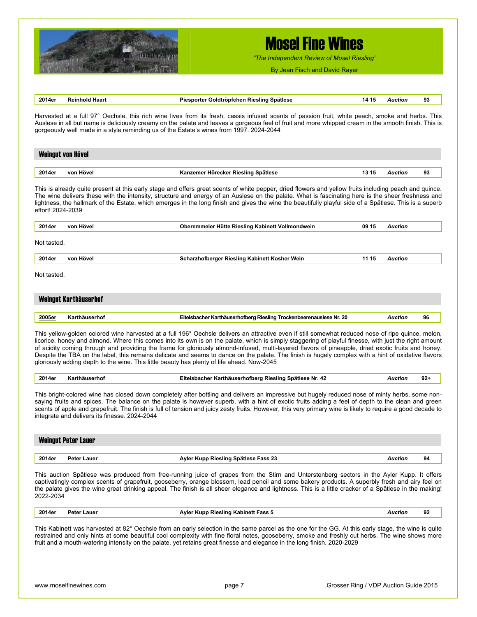

*"The Independent Review of Mosel Riesling"*

By Jean Fisch and David Rayer

|                   | <b>Reinhold Haart</b>                         | Piesporter Goldtröpfchen Riesling Spätlese                                                                                                                                                                                                                                                                                                                                                                                                                                                                                                                                                                                                                                                                              | 14 15 | Auction        | 93    |
|-------------------|-----------------------------------------------|-------------------------------------------------------------------------------------------------------------------------------------------------------------------------------------------------------------------------------------------------------------------------------------------------------------------------------------------------------------------------------------------------------------------------------------------------------------------------------------------------------------------------------------------------------------------------------------------------------------------------------------------------------------------------------------------------------------------------|-------|----------------|-------|
|                   |                                               | Harvested at a full 97° Oechsle, this rich wine lives from its fresh, cassis infused scents of passion fruit, white peach, smoke and herbs. This<br>Auslese in all but name is deliciously creamy on the palate and leaves a gorgeous feel of fruit and more whipped cream in the smooth finish. This is<br>gorgeously well made in a style reminding us of the Estate's wines from 1997. 2024-2044                                                                                                                                                                                                                                                                                                                     |       |                |       |
|                   | Weingut von Hövel                             |                                                                                                                                                                                                                                                                                                                                                                                                                                                                                                                                                                                                                                                                                                                         |       |                |       |
| 2014er            | von Hövel                                     | Kanzemer Hörecker Riesling Spätlese                                                                                                                                                                                                                                                                                                                                                                                                                                                                                                                                                                                                                                                                                     | 13 15 | <b>Auction</b> | 93    |
| effort! 2024-2039 |                                               | This is already quite present at this early stage and offers great scents of white pepper, dried flowers and yellow fruits including peach and quince.<br>The wine delivers these with the intensity, structure and energy of an Auslese on the palate. What is fascinating here is the sheer freshness and<br>lightness, the hallmark of the Estate, which emerges in the long finish and gives the wine the beautifully playful side of a Spätlese. This is a superb                                                                                                                                                                                                                                                  |       |                |       |
| 2014er            | von Hövel                                     | Oberemmeler Hütte Riesling Kabinett Vollmondwein                                                                                                                                                                                                                                                                                                                                                                                                                                                                                                                                                                                                                                                                        | 09 15 | <b>Auction</b> |       |
| Not tasted.       |                                               |                                                                                                                                                                                                                                                                                                                                                                                                                                                                                                                                                                                                                                                                                                                         |       |                |       |
| 2014er            | von Hövel                                     | Scharzhofberger Riesling Kabinett Kosher Wein                                                                                                                                                                                                                                                                                                                                                                                                                                                                                                                                                                                                                                                                           | 11 15 | <b>Auction</b> |       |
| Not tasted.       |                                               |                                                                                                                                                                                                                                                                                                                                                                                                                                                                                                                                                                                                                                                                                                                         |       |                |       |
|                   | Weingut Karthäuserhof                         |                                                                                                                                                                                                                                                                                                                                                                                                                                                                                                                                                                                                                                                                                                                         |       |                |       |
| 2005er            | Karthäuserhof                                 | Eitelsbacher Karthäuserhofberg Riesling Trockenbeerenauslese Nr. 20                                                                                                                                                                                                                                                                                                                                                                                                                                                                                                                                                                                                                                                     |       | <b>Auction</b> | 96    |
|                   |                                               |                                                                                                                                                                                                                                                                                                                                                                                                                                                                                                                                                                                                                                                                                                                         |       |                |       |
|                   |                                               | This yellow-golden colored wine harvested at a full 196° Oechsle delivers an attractive even if still somewhat reduced nose of ripe quince, melon,<br>licorice, honey and almond. Where this comes into its own is on the palate, which is simply staggering of playful finesse, with just the right amount<br>of acidity coming through and providing the frame for gloriously almond-infused, multi-layered flavors of pineapple, dried exotic fruits and honey.<br>Despite the TBA on the label, this remains delicate and seems to dance on the palate. The finish is hugely complex with a hint of oxidative flavors<br>gloriously adding depth to the wine. This little beauty has plenty of life ahead. Now-2045 |       |                |       |
| 2014er            | Karthäuserhof                                 | Eitelsbacher Karthäuserhofberg Riesling Spätlese Nr. 42                                                                                                                                                                                                                                                                                                                                                                                                                                                                                                                                                                                                                                                                 |       | <b>Auction</b> | $92+$ |
|                   | integrate and delivers its finesse. 2024-2044 | This bright-colored wine has closed down completely after bottling and delivers an impressive but hugely reduced nose of minty herbs, some non-<br>saying fruits and spices. The balance on the palate is however superb, with a hint of exotic fruits adding a feel of depth to the clean and green<br>scents of apple and grapefruit. The finish is full of tension and juicy zesty fruits. However, this very primary wine is likely to require a good decade to                                                                                                                                                                                                                                                     |       |                |       |
|                   | <b>Weingut Peter Lauer</b>                    |                                                                                                                                                                                                                                                                                                                                                                                                                                                                                                                                                                                                                                                                                                                         |       |                |       |
| 2014er            | Peter Lauer                                   | Ayler Kupp Riesling Spätlese Fass 23                                                                                                                                                                                                                                                                                                                                                                                                                                                                                                                                                                                                                                                                                    |       | <b>Auction</b> | 94    |
| 2022-2034         |                                               | This auction Spätlese was produced from free-running juice of grapes from the Stirn and Unterstenberg sectors in the Ayler Kupp. It offers<br>captivatingly complex scents of grapefruit, gooseberry, orange blossom, lead pencil and some bakery products. A superbly fresh and airy feel on<br>the palate gives the wine great drinking appeal. The finish is all sheer elegance and lightness. This is a little cracker of a Spätlese in the making!                                                                                                                                                                                                                                                                 |       |                |       |

This Kabinett was harvested at 82° Oechsle from an early selection in the same parcel as the one for the GG. At this early stage, the wine is quite restrained and only hints at some beautiful cool complexity with fine floral notes, gooseberry, smoke and freshly cut herbs. The wine shows more fruit and a mouth-watering intensity on the palate, yet retains great finesse and elegance in the long finish. 2020-2029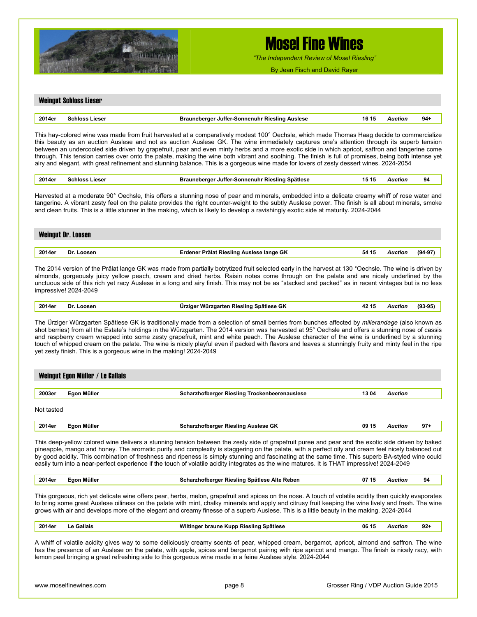

*"The Independent Review of Mosel Riesling"*

By Jean Fisch and David Rayer

#### Weingut Schloss Lieser

| 2014er | . | Sonnenur<br>16<br>JUITEI<br>anerne<br>. .<br>. | .,,,,,<br>. | 94 |
|--------|---|------------------------------------------------|-------------|----|
|        |   |                                                |             |    |

This hay-colored wine was made from fruit harvested at a comparatively modest 100° Oechsle, which made Thomas Haag decide to commercialize this beauty as an auction Auslese and not as auction Auslese GK. The wine immediately captures one's attention through its superb tension between an undercooled side driven by grapefruit, pear and even minty herbs and a more exotic side in which apricot, saffron and tangerine come through. This tension carries over onto the palate, making the wine both vibrant and soothing. The finish is full of promises, being both intense yet airy and elegant, with great refinement and stunning balance. This is a gorgeous wine made for lovers of zesty dessert wines. 2024-2054

| , 2014er | Schloss Lieser | Brauneberger Juffer-Sonnenuhr Riesling Spätlese | 15 15 | <b>Auction</b> |  |
|----------|----------------|-------------------------------------------------|-------|----------------|--|
|----------|----------------|-------------------------------------------------|-------|----------------|--|

Harvested at a moderate 90° Oechsle, this offers a stunning nose of pear and minerals, embedded into a delicate creamy whiff of rose water and tangerine. A vibrant zesty feel on the palate provides the right counter-weight to the subtly Auslese power. The finish is all about minerals, smoke and clean fruits. This is a little stunner in the making, which is likely to develop a ravishingly exotic side at maturity. 2024-2044

|        | <b>Weingut Dr. Loosen</b> |                                          |       |                |           |
|--------|---------------------------|------------------------------------------|-------|----------------|-----------|
|        |                           |                                          |       |                |           |
| 2014er | Dr. Loosen                | Erdener Prälat Riesling Auslese lange GK | 54 15 | <b>Auction</b> | $(94-97)$ |

The 2014 version of the Prälat lange GK was made from partially botrytized fruit selected early in the harvest at 130 °Oechsle. The wine is driven by almonds, gorgeously juicy yellow peach, cream and dried herbs. Raisin notes come through on the palate and are nicely underlined by the unctuous side of this rich yet racy Auslese in a long and airy finish. This may not be as "stacked and packed" as in recent vintages but is no less impressive! 2024-2049

| 2014er | Loosen<br>Dr<br>. | $12.1 -$<br>יר Würzgarten Riesling Spätlese GK<br>.7109r<br>. . | wction<br>. | (93-95 |
|--------|-------------------|-----------------------------------------------------------------|-------------|--------|
|        |                   |                                                                 |             |        |

The Ürziger Würzgarten Spätlese GK is traditionally made from a selection of small berries from bunches affected by *millerandage* (also known as shot berries) from all the Estate's holdings in the Würzgarten. The 2014 version was harvested at 95° Oechsle and offers a stunning nose of cassis and raspberry cream wrapped into some zesty grapefruit, mint and white peach. The Auslese character of the wine is underlined by a stunning touch of whipped cream on the palate. The wine is nicely playful even if packed with flavors and leaves a stunningly fruity and minty feel in the ripe yet zesty finish. This is a gorgeous wine in the making! 2024-2049

|            | Weingut Egon Müller / Le Gallais |                                                      |       |         |
|------------|----------------------------------|------------------------------------------------------|-------|---------|
| 2003er     | Egon Müller                      | <b>Scharzhofberger Riesling Trockenbeerenauslese</b> | 13 04 | Auction |
| Not taster |                                  |                                                      |       |         |

Not tasted

| 2014er | Müller<br>'aon | <b>Auslese GK</b><br>' Rieslinc<br>וחזצ | 09<br>15 | Auction | ດາ<br>J1. |
|--------|----------------|-----------------------------------------|----------|---------|-----------|
|        |                |                                         |          |         |           |

This deep-yellow colored wine delivers a stunning tension between the zesty side of grapefruit puree and pear and the exotic side driven by baked pineapple, mango and honey. The aromatic purity and complexity is staggering on the palate, with a perfect oily and cream feel nicely balanced out by good acidity. This combination of freshness and ripeness is simply stunning and fascinating at the same time. This superb BA-styled wine could easily turn into a near-perfect experience if the touch of volatile acidity integrates as the wine matures. It is THAT impressive! 2024-2049

| 2014er | Mülleı<br>Eaon | Scharzhofberger Riesling Spätlese Alte Reben | . .<br>07<br>-15 | Auction | 94 |
|--------|----------------|----------------------------------------------|------------------|---------|----|
|--------|----------------|----------------------------------------------|------------------|---------|----|

This gorgeous, rich yet delicate wine offers pear, herbs, melon, grapefruit and spices on the nose. A touch of volatile acidity then quickly evaporates to bring some great Auslese oiliness on the palate with mint, chalky minerals and apply and citrusy fruit keeping the wine lively and fresh. The wine grows with air and develops more of the elegant and creamy finesse of a superb Auslese. This is a little beauty in the making. 2024-2044

| 2014er | <b>Gallais</b> | <br>' braune Kupp Riesling Spätlese<br>Wiltinaer | 06<br>15 | AUCTION | $92 -$<br>-- |
|--------|----------------|--------------------------------------------------|----------|---------|--------------|
|        |                |                                                  |          |         |              |

A whiff of volatile acidity gives way to some deliciously creamy scents of pear, whipped cream, bergamot, apricot, almond and saffron. The wine has the presence of an Auslese on the palate, with apple, spices and bergamot pairing with ripe apricot and mango. The finish is nicely racy, with lemon peel bringing a great refreshing side to this gorgeous wine made in a feine Auslese style. 2024-2044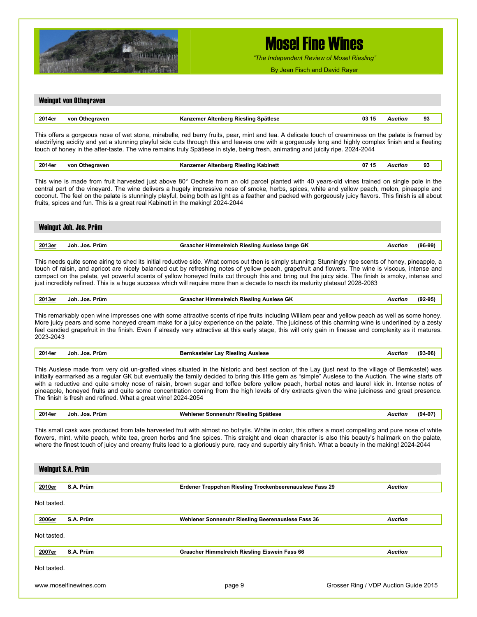

*"The Independent Review of Mosel Riesling"*

By Jean Fisch and David Rayer

### Weingut von Othegraven

| 2014er | von<br>$\sim$ $\sim$ | Spätlese<br><b>Riesling</b><br>Nitenbery<br>.<br>. | 03 15 | . | 93 |
|--------|----------------------|----------------------------------------------------|-------|---|----|
|        |                      |                                                    |       |   |    |

This offers a gorgeous nose of wet stone, mirabelle, red berry fruits, pear, mint and tea. A delicate touch of creaminess on the palate is framed by electrifying acidity and yet a stunning playful side cuts through this and leaves one with a gorgeously long and highly complex finish and a fleeting touch of honey in the after-taste. The wine remains truly Spätlese in style, being fresh, animating and juicily ripe. 2024-2044

| 2014er | von<br>Othearaven<br>. | <sup>.</sup> Altenbera Rieslina Kabinett<br><b>Kanzemer</b><br>. | 07<br>- 132 | wctior<br>. | 93<br>$ -$ |
|--------|------------------------|------------------------------------------------------------------|-------------|-------------|------------|
|        |                        |                                                                  |             |             |            |

This wine is made from fruit harvested just above 80° Oechsle from an old parcel planted with 40 years-old vines trained on single pole in the central part of the vineyard. The wine delivers a hugely impressive nose of smoke, herbs, spices, white and yellow peach, melon, pineapple and coconut. The feel on the palate is stunningly playful, being both as light as a feather and packed with gorgeously juicy flavors. This finish is all about fruits, spices and fun. This is a great real Kabinett in the making! 2024-2044

|                | Weingut Joh. Jos. Prüm |                                                           |           |
|----------------|------------------------|-----------------------------------------------------------|-----------|
|                |                        |                                                           |           |
| <u> 2013er</u> | Joh. Jos. Prüm         | Graacher Himmelreich Riesling Auslese lange GK<br>Auction | $(96-99)$ |

This needs quite some airing to shed its initial reductive side. What comes out then is simply stunning: Stunningly ripe scents of honey, pineapple, a touch of raisin, and apricot are nicely balanced out by refreshing notes of yellow peach, grapefruit and flowers. The wine is viscous, intense and compact on the palate, yet powerful scents of yellow honeyed fruits cut through this and bring out the juicy side. The finish is smoky, intense and just incredibly refined. This is a huge success which will require more than a decade to reach its maturity plateau! 2028-2063

**2013er Joh. Jos. Prüm Graacher Himmelreich Riesling Auslese GK** *Auction* **(92-95)** 

This remarkably open wine impresses one with some attractive scents of ripe fruits including William pear and yellow peach as well as some honey. More juicy pears and some honeyed cream make for a juicy experience on the palate. The juiciness of this charming wine is underlined by a zesty feel candied grapefruit in the finish. Even if already very attractive at this early stage, this will only gain in finesse and complexity as it matures. 2023-2043

|--|

This Auslese made from very old un-grafted vines situated in the historic and best section of the Lay (just next to the village of Bernkastel) was initially earmarked as a regular GK but eventually the family decided to bring this little gem as "simple" Auslese to the Auction. The wine starts off with a reductive and quite smoky nose of raisin, brown sugar and toffee before yellow peach, herbal notes and laurel kick in. Intense notes of pineapple, honeyed fruits and quite some concentration coming from the high levels of dry extracts given the wine juiciness and great presence. The finish is fresh and refined. What a great wine! 2024-2054

| 2014er | an Jos<br>Prüm<br>Joh. | * Sonnenuhr Riesling Spätlese<br>Wehlener<br>:noı<br>. | - ימםי |
|--------|------------------------|--------------------------------------------------------|--------|
|--------|------------------------|--------------------------------------------------------|--------|

This small cask was produced from late harvested fruit with almost no botrytis. White in color, this offers a most compelling and pure nose of white flowers, mint, white peach, white tea, green herbs and fine spices. This straight and clean character is also this beauty's hallmark on the palate, where the finest touch of juicy and creamy fruits lead to a gloriously pure, racy and superbly airy finish. What a beauty in the making! 2024-2044

|                        | Weingut S.A. Prüm |                                                         |                                       |
|------------------------|-------------------|---------------------------------------------------------|---------------------------------------|
| 2010er                 | S.A. Prüm         | Erdener Treppchen Riesling Trockenbeerenauslese Fass 29 | <b>Auction</b>                        |
| Not tasted.            |                   |                                                         |                                       |
| 2006er                 | S.A. Prüm         | Wehlener Sonnenuhr Riesling Beerenauslese Fass 36       | <b>Auction</b>                        |
| Not tasted.            |                   |                                                         |                                       |
| 2007er                 | S.A. Prüm         | Graacher Himmelreich Riesling Eiswein Fass 66           | <b>Auction</b>                        |
| Not tasted.            |                   |                                                         |                                       |
| www.moselfinewines.com |                   | page 9                                                  | Grosser Ring / VDP Auction Guide 2015 |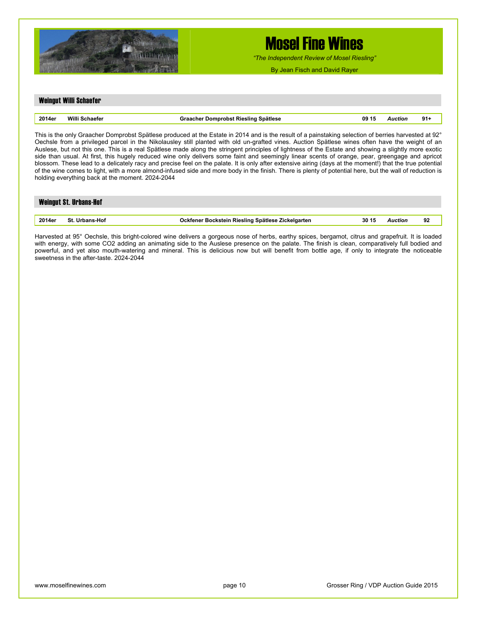

*"The Independent Review of Mosel Riesling"*

By Jean Fisch and David Rayer

### Weingut Willi Schaefer

| 2014e | Mill<br>чине в<br>. | Spätlese<br>uomnrons.<br>RIASIING<br>m | 09 15<br>. | ⊤uor.<br>. | 91 |
|-------|---------------------|----------------------------------------|------------|------------|----|
|       |                     |                                        |            |            |    |

This is the only Graacher Domprobst Spätlese produced at the Estate in 2014 and is the result of a painstaking selection of berries harvested at 92° Oechsle from a privileged parcel in the Nikolausley still planted with old un-grafted vines. Auction Spätlese wines often have the weight of an Auslese, but not this one. This is a real Spätlese made along the stringent principles of lightness of the Estate and showing a slightly more exotic side than usual. At first, this hugely reduced wine only delivers some faint and seemingly linear scents of orange, pear, greengage and apricot blossom. These lead to a delicately racy and precise feel on the palate. It is only after extensive airing (days at the moment!) that the true potential of the wine comes to light, with a more almond-infused side and more body in the finish. There is plenty of potential here, but the wall of reduction is holding everything back at the moment. 2024-2044

| <b>Weingut St. Urbans-Hof</b> |                       |                                                   |       |         |    |  |  |
|-------------------------------|-----------------------|---------------------------------------------------|-------|---------|----|--|--|
|                               |                       |                                                   |       |         |    |  |  |
| 2014er                        | <b>St. Urbans-Hof</b> | Ockfener Bockstein Riesling Spätlese Zickelgarten | 30 15 | Auction | 92 |  |  |

Harvested at 95° Oechsle, this bright-colored wine delivers a gorgeous nose of herbs, earthy spices, bergamot, citrus and grapefruit. It is loaded with energy, with some CO2 adding an animating side to the Auslese presence on the palate. The finish is clean, comparatively full bodied and powerful, and yet also mouth-watering and mineral. This is delicious now but will benefit from bottle age, if only to integrate the noticeable sweetness in the after-taste. 2024-2044